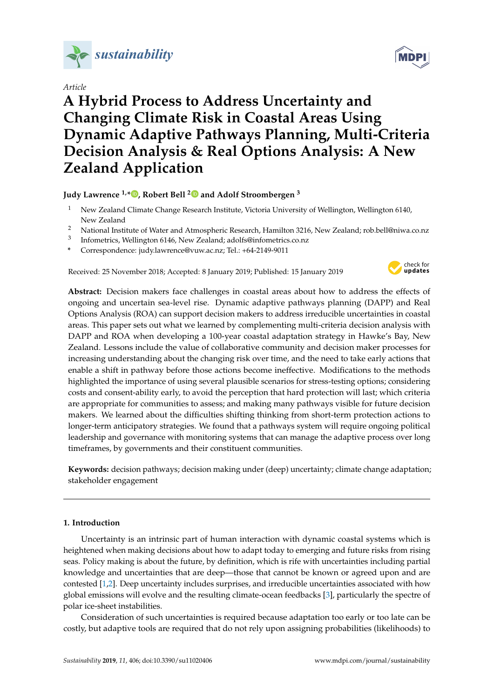

# *Article*

# **A Hybrid Process to Address Uncertainty and Changing Climate Risk in Coastal Areas Using Dynamic Adaptive Pathways Planning, Multi-Criteria Decision Analysis & Real Options Analysis: A New Zealand Application**

**Judy Lawrence 1,\* [,](https://orcid.org/0000-0001-6798-3636) Robert Bell [2](https://orcid.org/0000-0002-8490-8942) and Adolf Stroombergen <sup>3</sup>**

- <sup>1</sup> New Zealand Climate Change Research Institute, Victoria University of Wellington, Wellington 6140, New Zealand
- <sup>2</sup> National Institute of Water and Atmospheric Research, Hamilton 3216, New Zealand; rob.bell@niwa.co.nz
- 3 Infometrics, Wellington 6146, New Zealand; adolfs@infometrics.co.nz
- **\*** Correspondence: judy.lawrence@vuw.ac.nz; Tel.: +64-2149-9011

Received: 25 November 2018; Accepted: 8 January 2019; Published: 15 January 2019



**Abstract:** Decision makers face challenges in coastal areas about how to address the effects of ongoing and uncertain sea-level rise. Dynamic adaptive pathways planning (DAPP) and Real Options Analysis (ROA) can support decision makers to address irreducible uncertainties in coastal areas. This paper sets out what we learned by complementing multi-criteria decision analysis with DAPP and ROA when developing a 100-year coastal adaptation strategy in Hawke's Bay, New Zealand. Lessons include the value of collaborative community and decision maker processes for increasing understanding about the changing risk over time, and the need to take early actions that enable a shift in pathway before those actions become ineffective. Modifications to the methods highlighted the importance of using several plausible scenarios for stress-testing options; considering costs and consent-ability early, to avoid the perception that hard protection will last; which criteria are appropriate for communities to assess; and making many pathways visible for future decision makers. We learned about the difficulties shifting thinking from short-term protection actions to longer-term anticipatory strategies. We found that a pathways system will require ongoing political leadership and governance with monitoring systems that can manage the adaptive process over long timeframes, by governments and their constituent communities.

**Keywords:** decision pathways; decision making under (deep) uncertainty; climate change adaptation; stakeholder engagement

## **1. Introduction**

Uncertainty is an intrinsic part of human interaction with dynamic coastal systems which is heightened when making decisions about how to adapt today to emerging and future risks from rising seas. Policy making is about the future, by definition, which is rife with uncertainties including partial knowledge and uncertainties that are deep—those that cannot be known or agreed upon and are contested [\[1](#page-15-0)[,2\]](#page-15-1). Deep uncertainty includes surprises, and irreducible uncertainties associated with how global emissions will evolve and the resulting climate-ocean feedbacks [\[3\]](#page-15-2), particularly the spectre of polar ice-sheet instabilities.

Consideration of such uncertainties is required because adaptation too early or too late can be costly, but adaptive tools are required that do not rely upon assigning probabilities (likelihoods) to

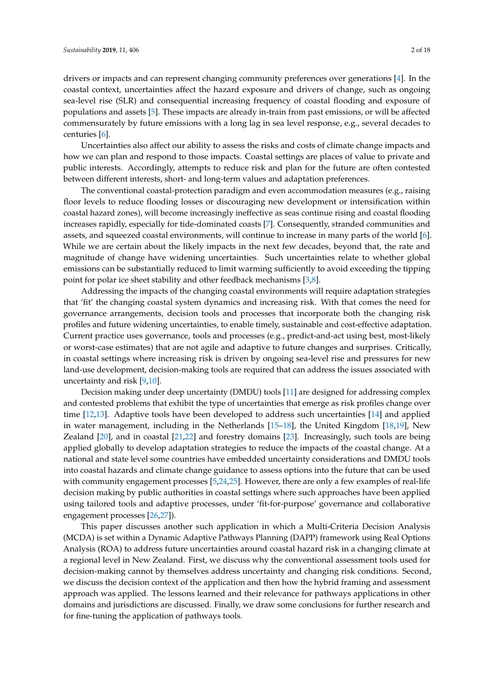drivers or impacts and can represent changing community preferences over generations [\[4\]](#page-15-3). In the coastal context, uncertainties affect the hazard exposure and drivers of change, such as ongoing sea-level rise (SLR) and consequential increasing frequency of coastal flooding and exposure of populations and assets [\[5\]](#page-15-4). These impacts are already in-train from past emissions, or will be affected commensurately by future emissions with a long lag in sea level response, e.g., several decades to centuries [\[6\]](#page-15-5).

Uncertainties also affect our ability to assess the risks and costs of climate change impacts and how we can plan and respond to those impacts. Coastal settings are places of value to private and public interests. Accordingly, attempts to reduce risk and plan for the future are often contested between different interests, short- and long-term values and adaptation preferences.

The conventional coastal-protection paradigm and even accommodation measures (e.g., raising floor levels to reduce flooding losses or discouraging new development or intensification within coastal hazard zones), will become increasingly ineffective as seas continue rising and coastal flooding increases rapidly, especially for tide-dominated coasts [\[7\]](#page-15-6). Consequently, stranded communities and assets, and squeezed coastal environments, will continue to increase in many parts of the world [\[6\]](#page-15-5). While we are certain about the likely impacts in the next few decades, beyond that, the rate and magnitude of change have widening uncertainties. Such uncertainties relate to whether global emissions can be substantially reduced to limit warming sufficiently to avoid exceeding the tipping point for polar ice sheet stability and other feedback mechanisms [\[3](#page-15-2)[,8\]](#page-15-7).

Addressing the impacts of the changing coastal environments will require adaptation strategies that 'fit' the changing coastal system dynamics and increasing risk. With that comes the need for governance arrangements, decision tools and processes that incorporate both the changing risk profiles and future widening uncertainties, to enable timely, sustainable and cost-effective adaptation. Current practice uses governance, tools and processes (e.g., predict-and-act using best, most-likely or worst-case estimates) that are not agile and adaptive to future changes and surprises. Critically, in coastal settings where increasing risk is driven by ongoing sea-level rise and pressures for new land-use development, decision-making tools are required that can address the issues associated with uncertainty and risk [\[9](#page-15-8)[,10\]](#page-15-9).

Decision making under deep uncertainty (DMDU) tools [\[11\]](#page-15-10) are designed for addressing complex and contested problems that exhibit the type of uncertainties that emerge as risk profiles change over time [\[12](#page-15-11)[,13\]](#page-15-12). Adaptive tools have been developed to address such uncertainties [\[14\]](#page-15-13) and applied in water management, including in the Netherlands [\[15](#page-15-14)[–18\]](#page-15-15), the United Kingdom [\[18,](#page-15-15)[19\]](#page-16-0), New Zealand [\[20\]](#page-16-1), and in coastal [\[21,](#page-16-2)[22\]](#page-16-3) and forestry domains [\[23\]](#page-16-4). Increasingly, such tools are being applied globally to develop adaptation strategies to reduce the impacts of the coastal change. At a national and state level some countries have embedded uncertainty considerations and DMDU tools into coastal hazards and climate change guidance to assess options into the future that can be used with community engagement processes [\[5](#page-15-4)[,24](#page-16-5)[,25\]](#page-16-6). However, there are only a few examples of real-life decision making by public authorities in coastal settings where such approaches have been applied using tailored tools and adaptive processes, under 'fit-for-purpose' governance and collaborative engagement processes [\[26,](#page-16-7)[27\]](#page-16-8)).

This paper discusses another such application in which a Multi-Criteria Decision Analysis (MCDA) is set within a Dynamic Adaptive Pathways Planning (DAPP) framework using Real Options Analysis (ROA) to address future uncertainties around coastal hazard risk in a changing climate at a regional level in New Zealand. First, we discuss why the conventional assessment tools used for decision-making cannot by themselves address uncertainty and changing risk conditions. Second, we discuss the decision context of the application and then how the hybrid framing and assessment approach was applied. The lessons learned and their relevance for pathways applications in other domains and jurisdictions are discussed. Finally, we draw some conclusions for further research and for fine-tuning the application of pathways tools.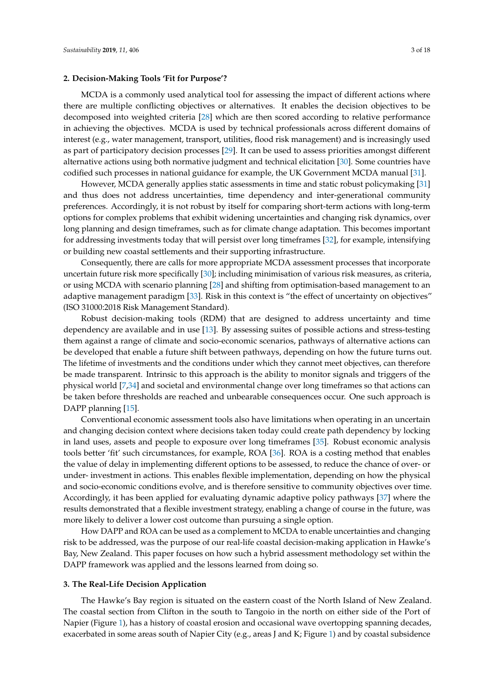## **2. Decision-Making Tools 'Fit for Purpose'?**

MCDA is a commonly used analytical tool for assessing the impact of different actions where there are multiple conflicting objectives or alternatives. It enables the decision objectives to be decomposed into weighted criteria [\[28\]](#page-16-9) which are then scored according to relative performance in achieving the objectives. MCDA is used by technical professionals across different domains of interest (e.g., water management, transport, utilities, flood risk management) and is increasingly used as part of participatory decision processes [\[29\]](#page-16-10). It can be used to assess priorities amongst different alternative actions using both normative judgment and technical elicitation [\[30\]](#page-16-11). Some countries have codified such processes in national guidance for example, the UK Government MCDA manual [\[31\]](#page-16-12).

However, MCDA generally applies static assessments in time and static robust policymaking [\[31\]](#page-16-12) and thus does not address uncertainties, time dependency and inter-generational community preferences. Accordingly, it is not robust by itself for comparing short-term actions with long-term options for complex problems that exhibit widening uncertainties and changing risk dynamics, over long planning and design timeframes, such as for climate change adaptation. This becomes important for addressing investments today that will persist over long timeframes [\[32\]](#page-16-13), for example, intensifying or building new coastal settlements and their supporting infrastructure.

Consequently, there are calls for more appropriate MCDA assessment processes that incorporate uncertain future risk more specifically [\[30\]](#page-16-11); including minimisation of various risk measures, as criteria, or using MCDA with scenario planning [\[28\]](#page-16-9) and shifting from optimisation-based management to an adaptive management paradigm [\[33\]](#page-16-14). Risk in this context is "the effect of uncertainty on objectives" (ISO 31000:2018 Risk Management Standard).

Robust decision-making tools (RDM) that are designed to address uncertainty and time dependency are available and in use [\[13\]](#page-15-12). By assessing suites of possible actions and stress-testing them against a range of climate and socio-economic scenarios, pathways of alternative actions can be developed that enable a future shift between pathways, depending on how the future turns out. The lifetime of investments and the conditions under which they cannot meet objectives, can therefore be made transparent. Intrinsic to this approach is the ability to monitor signals and triggers of the physical world [\[7,](#page-15-6)[34\]](#page-16-15) and societal and environmental change over long timeframes so that actions can be taken before thresholds are reached and unbearable consequences occur. One such approach is DAPP planning [\[15\]](#page-15-14).

Conventional economic assessment tools also have limitations when operating in an uncertain and changing decision context where decisions taken today could create path dependency by locking in land uses, assets and people to exposure over long timeframes [\[35\]](#page-16-16). Robust economic analysis tools better 'fit' such circumstances, for example, ROA [\[36\]](#page-16-17). ROA is a costing method that enables the value of delay in implementing different options to be assessed, to reduce the chance of over- or under- investment in actions. This enables flexible implementation, depending on how the physical and socio-economic conditions evolve, and is therefore sensitive to community objectives over time. Accordingly, it has been applied for evaluating dynamic adaptive policy pathways [\[37\]](#page-16-18) where the results demonstrated that a flexible investment strategy, enabling a change of course in the future, was more likely to deliver a lower cost outcome than pursuing a single option.

How DAPP and ROA can be used as a complement to MCDA to enable uncertainties and changing risk to be addressed, was the purpose of our real-life coastal decision-making application in Hawke's Bay, New Zealand. This paper focuses on how such a hybrid assessment methodology set within the DAPP framework was applied and the lessons learned from doing so.

## **3. The Real-Life Decision Application**

The Hawke's Bay region is situated on the eastern coast of the North Island of New Zealand. The coastal section from Clifton in the south to Tangoio in the north on either side of the Port of Napier (Figure [1\)](#page-3-0), has a history of coastal erosion and occasional wave overtopping spanning decades, exacerbated in some areas south of Napier City (e.g., areas J and K; Figure [1\)](#page-3-0) and by coastal subsidence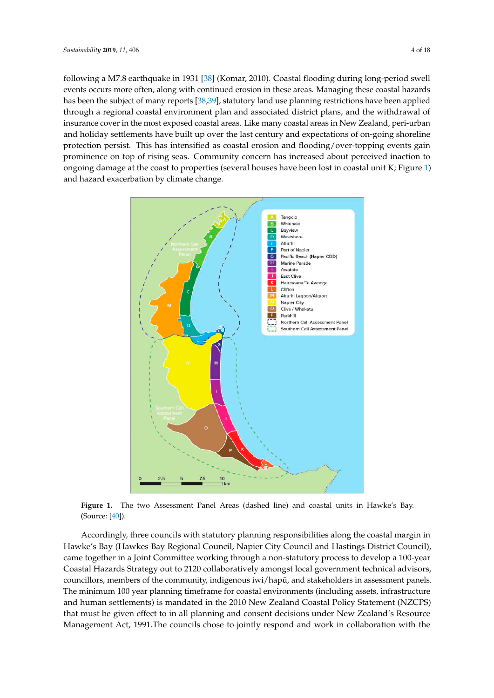<span id="page-3-1"></span>following a M7.8 earthquake in 1931 [\[38\]](#page-16-19) (Komar, 2010). Coastal flooding during long-period swell events occurs more often, along with continued erosion in these areas. Managing these coastal hazards has been the subject of many reports [38,39], [sta](#page-17-0)tutory land use planning restrictions have been applied through a regional coastal environment plan and associated district plans, and the withdrawal of insurance cover in the most exposed coastal areas. Like many coastal areas in New Zealand, peri-urban Zealand, peri‐urban and holiday settlements have built up over the last century and expectations of and holiday settlements have built up over the last century and expectations of on-going shoreline protection persist. This has intensified as coastal erosion and flooding/over-topping events gain protection percent ring measured as equally events and necessary over topping events gain prominence on top of rising seas. Community concern has increased about perceived inaction to ongoing damage at the coast to properties (several houses have b[ee](#page-3-0)n lost in coastal unit K; Figure 1) and hazard exacerbation by climate change.

<span id="page-3-0"></span>

**Figure 1.** The two Assessment Panel Areas (dashed line) and coastal units in Hawke's Bay. (Source: [\[40\]](#page-17-1)).

Hawke's Bay (Hawkes Bay Regional Council, Napier City Council and Hastings District Council), came together in a Joint Committee working through a non-statutory process to develop a 100-year Coastal Hazards Strategy out to 2120 collaboratively amongst local government technical advisors, The minimum 100 year planning timeframe for coastal environments (including assets, infrastructure and human settlements) is mandated in the 2010 New Zealand Coastal Policy Statement (NZCPS) that must be given effect to in all planning and consent decisions under New Zealand's Resource Management Act, 1991.The councils chose to jointly respond and work in collaboration with the Accordingly, three councils with statutory planning responsibilities along the coastal margin in councillors, members of the community, indigenous iwi/hapū, and stakeholders in assessment panels.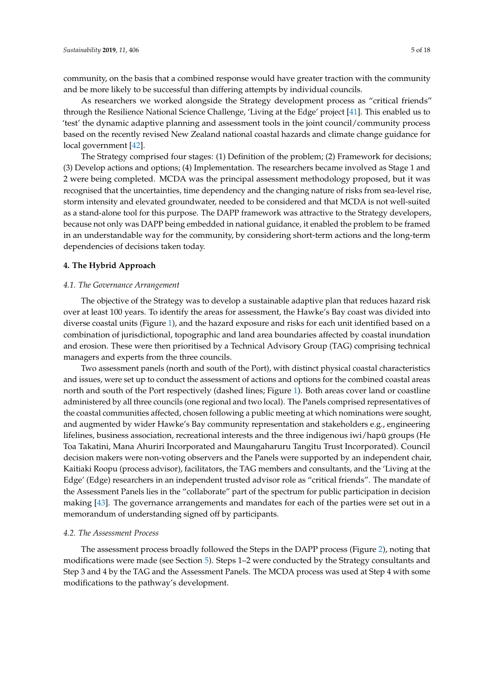community, on the basis that a combined response would have greater traction with the community and be more likely to be successful than differing attempts by individual councils.

As researchers we worked alongside the Strategy development process as "critical friends" through the Resilience National Science Challenge, 'Living at the Edge' project [\[41\]](#page-17-2). This enabled us to 'test' the dynamic adaptive planning and assessment tools in the joint council/community process based on the recently revised New Zealand national coastal hazards and climate change guidance for local government [\[42\]](#page-17-3).

The Strategy comprised four stages: (1) Definition of the problem; (2) Framework for decisions; (3) Develop actions and options; (4) Implementation. The researchers became involved as Stage 1 and 2 were being completed. MCDA was the principal assessment methodology proposed, but it was recognised that the uncertainties, time dependency and the changing nature of risks from sea-level rise, storm intensity and elevated groundwater, needed to be considered and that MCDA is not well-suited as a stand-alone tool for this purpose. The DAPP framework was attractive to the Strategy developers, because not only was DAPP being embedded in national guidance, it enabled the problem to be framed in an understandable way for the community, by considering short-term actions and the long-term dependencies of decisions taken today.

## **4. The Hybrid Approach**

## *4.1. The Governance Arrangement*

The objective of the Strategy was to develop a sustainable adaptive plan that reduces hazard risk over at least 100 years. To identify the areas for assessment, the Hawke's Bay coast was divided into diverse coastal units (Figure [1\)](#page-3-0), and the hazard exposure and risks for each unit identified based on a combination of jurisdictional, topographic and land area boundaries affected by coastal inundation and erosion. These were then prioritised by a Technical Advisory Group (TAG) comprising technical managers and experts from the three councils.

Two assessment panels (north and south of the Port), with distinct physical coastal characteristics and issues, were set up to conduct the assessment of actions and options for the combined coastal areas north and south of the Port respectively (dashed lines; Figure [1\)](#page-3-0). Both areas cover land or coastline administered by all three councils (one regional and two local). The Panels comprised representatives of the coastal communities affected, chosen following a public meeting at which nominations were sought, and augmented by wider Hawke's Bay community representation and stakeholders e.g., engineering lifelines, business association, recreational interests and the three indigenous iwi/hapū groups (He Toa Takatini, Mana Ahuriri Incorporated and Maungaharuru Tangitu Trust Incorporated). Council decision makers were non-voting observers and the Panels were supported by an independent chair, Kaitiaki Roopu (process advisor), facilitators, the TAG members and consultants, and the 'Living at the Edge' (Edge) researchers in an independent trusted advisor role as "critical friends". The mandate of the Assessment Panels lies in the "collaborate" part of the spectrum for public participation in decision making [\[43\]](#page-17-4). The governance arrangements and mandates for each of the parties were set out in a memorandum of understanding signed off by participants.

## *4.2. The Assessment Process*

The assessment process broadly followed the Steps in the DAPP process (Figure [2\)](#page-5-0), noting that modifications were made (see Section [5\)](#page-10-0). Steps 1–2 were conducted by the Strategy consultants and Step 3 and 4 by the TAG and the Assessment Panels. The MCDA process was used at Step 4 with some modifications to the pathway's development.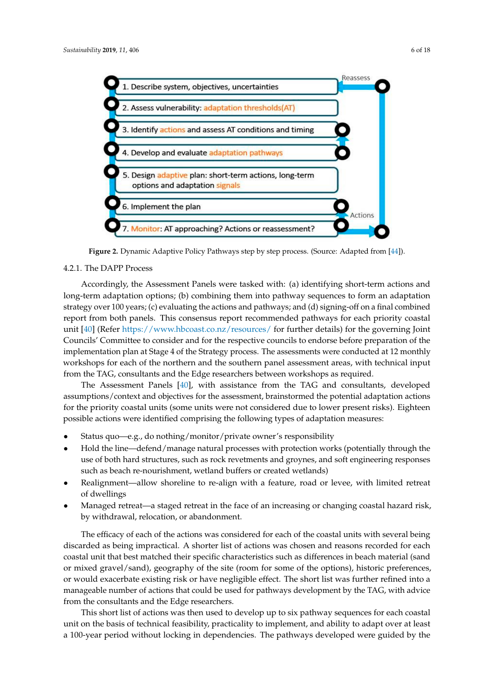<span id="page-5-0"></span>

**Figure 2.** Dynamic Adaptive Policy Pathways step by step process. (Source: Adapted from [44]). **Figure 2.** Dynamic Adaptive Policy Pathways step by step process. (Source: Adapted from [\[44\]](#page-17-5)).

#### $T_{\text{H}}$ , with a specific from the TAG and consultants, developed consultants, developed consultants, developed consultants, developed consultants, developed consultants, developed consultants, developed consultants, dev 4.2.1. The DAPP Process

Accordingly, the Assessment Panels were tasked with: (a) identifying short-term actions and long-term adaptation options; (b) combining them into pathway sequences to form an adaptation strategy over 100 years; (c) evaluating the actions and pathways; and (d) signing-off on a final combined report from both panels. This consensus report recommended pathways for each priority coastal unit [\[40\]](#page-17-1) (Refer <https://www.hbcoast.co.nz/resources/> for further details) for the governing Joint Councils' Committee to consider and for the respective councils to endorse before preparation of the consider and for the respective councils to endorse before preparation of the implementation plan at Stage 4 of the Strategy process. The assessments were conducted at 12 monthly workshops for each of the northern and the southern panel assessment areas, with technical input from the TAG, consultants and the Edge researchers between workshops as required.

The Assessment Panels [\[40\]](#page-17-1), with assistance from the TAG and consultants, developed assumptions/context and objectives for the assessment, brainstormed the potential adaptation actions possible actions were identified comprising the following types of adaptation measures: for the priority coastal units (some units were not considered due to lower present risks). Eighteen

- discarded as being impractical. A shorter list of actions was chosen and reasons recorded for each • Status quo—e.g., do nothing/monitor/private owner's responsibility
- Hold the line—defend/manage natural processes with protection works (potentially through the use of both hard structures, such as rock revetments and groynes, and soft engineering responses such as beach re-nourishment, wetland buffers or created wetlands)
- Realignment—allow shoreline to re-align with a feature, road or levee, with limited retreat This short dividuals was then used to develop up to develop up to six pathway sequences for each coastal coastal coastal coastal coastal coastal coastal coastal coastal coastal coastal coastal coastal coastal coastal coast of dwellings
- Managed retreat—a staged retreat in the face of an increasing or changing coastal hazard risk, by withdrawal, relocation, or abandonment.

The efficacy of each of the actions was considered for each of the coastal units with several being discarded as being impractical. A shorter list of actions was chosen and reasons recorded for each coastal unit that best matched their specific characteristics such as differences in beach material (sand or mixed gravel/sand), geography of the site (room for some of the options), historic preferences, or would exacerbate existing risk or have negligible effect. The short list was further refined into a manageable number of actions that could be used for pathways development by the TAG, with advice from the consultants and the Edge researchers.

This short list of actions was then used to develop up to six pathway sequences for each coastal unit on the basis of technical feasibility, practicality to implement, and ability to adapt over at least a 100-year period without locking in dependencies. The pathways developed were guided by the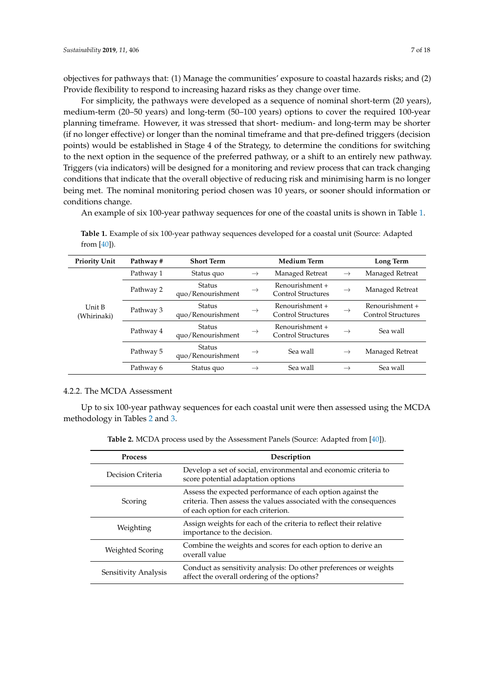objectives for pathways that: (1) Manage the communities' exposure to coastal hazards risks; and (2) Provide flexibility to respond to increasing hazard risks as they change over time.

For simplicity, the pathways were developed as a sequence of nominal short-term (20 years), medium-term (20–50 years) and long-term (50–100 years) options to cover the required 100-year planning timeframe. However, it was stressed that short- medium- and long-term may be shorter (if no longer effective) or longer than the nominal timeframe and that pre-defined triggers (decision points) would be established in Stage 4 of the Strategy, to determine the conditions for switching to the next option in the sequence of the preferred pathway, or a shift to an entirely new pathway. Triggers (via indicators) will be designed for a monitoring and review process that can track changing conditions that indicate that the overall objective of reducing risk and minimising harm is no longer being met. The nominal monitoring period chosen was 10 years, or sooner should information or conditions change.

An example of six 100-year pathway sequences for one of the coastal units is shown in Table [1.](#page-6-0)

| <b>Priority Unit</b>  | Pathway # | <b>Short Term</b>                  | <b>Medium Term</b> |                                              |               | Long Term                                    |  |
|-----------------------|-----------|------------------------------------|--------------------|----------------------------------------------|---------------|----------------------------------------------|--|
|                       | Pathway 1 | Status quo                         | $\rightarrow$      | Managed Retreat                              | $\rightarrow$ | Managed Retreat                              |  |
|                       | Pathway 2 | Status<br>quo/Renourishment        | $\rightarrow$      | Renourishment +<br><b>Control Structures</b> | $\rightarrow$ | Managed Retreat                              |  |
| Unit B<br>(Whirinaki) | Pathway 3 | <b>Status</b><br>quo/Renourishment | $\rightarrow$      | Renourishment +<br>Control Structures        | $\rightarrow$ | Renourishment +<br><b>Control Structures</b> |  |
|                       | Pathway 4 | Status<br>quo/Renourishment        | $\rightarrow$      | Renourishment +<br><b>Control Structures</b> | $\rightarrow$ | Sea wall                                     |  |
|                       | Pathway 5 | Status<br>quo/Renourishment        | $\rightarrow$      | Sea wall                                     | $\rightarrow$ | Managed Retreat                              |  |
|                       | Pathway 6 | Status quo                         |                    | Sea wall                                     | $\rightarrow$ | Sea wall                                     |  |

<span id="page-6-0"></span>**Table 1.** Example of six 100-year pathway sequences developed for a coastal unit (Source: Adapted from [\[40\]](#page-17-1)).

## 4.2.2. The MCDA Assessment

<span id="page-6-1"></span>Up to six 100-year pathway sequences for each coastal unit were then assessed using the MCDA methodology in Tables [2](#page-6-1) and [3.](#page-7-0)

**Table 2.** MCDA process used by the Assessment Panels (Source: Adapted from [\[40\]](#page-17-1)).

| <b>Process</b>       | Description                                                                                                                                                           |  |  |  |
|----------------------|-----------------------------------------------------------------------------------------------------------------------------------------------------------------------|--|--|--|
| Decision Criteria    | Develop a set of social, environmental and economic criteria to<br>score potential adaptation options                                                                 |  |  |  |
| Scoring              | Assess the expected performance of each option against the<br>criteria. Then assess the values associated with the consequences<br>of each option for each criterion. |  |  |  |
| Weighting            | Assign weights for each of the criteria to reflect their relative<br>importance to the decision.                                                                      |  |  |  |
| Weighted Scoring     | Combine the weights and scores for each option to derive an<br>overall value                                                                                          |  |  |  |
| Sensitivity Analysis | Conduct as sensitivity analysis: Do other preferences or weights<br>affect the overall ordering of the options?                                                       |  |  |  |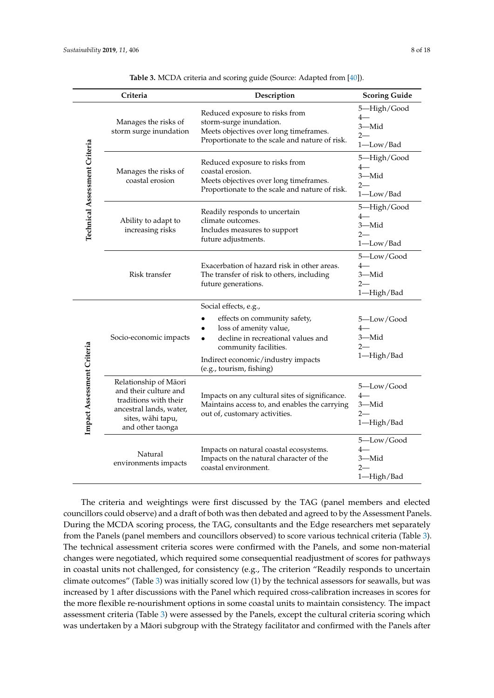<span id="page-7-0"></span>

|                                      | Criteria                                                                                                                                    | Description                                                                                                                                           | <b>Scoring Guide</b>                               |  |  |
|--------------------------------------|---------------------------------------------------------------------------------------------------------------------------------------------|-------------------------------------------------------------------------------------------------------------------------------------------------------|----------------------------------------------------|--|--|
| <b>Technical Assessment Criteria</b> | Manages the risks of<br>storm surge inundation                                                                                              | Reduced exposure to risks from<br>storm-surge inundation.<br>Meets objectives over long timeframes.<br>Proportionate to the scale and nature of risk. | 5-High/Good<br>$4-$<br>3-Mid<br>$2-$<br>1-Low/Bad  |  |  |
|                                      | Manages the risks of<br>coastal erosion                                                                                                     | Reduced exposure to risks from<br>coastal erosion.<br>Meets objectives over long timeframes.<br>Proportionate to the scale and nature of risk.        | 5-High/Good<br>4—<br>3-Mid<br>$2-$<br>1-Low/Bad    |  |  |
|                                      | Ability to adapt to<br>increasing risks                                                                                                     | Readily responds to uncertain<br>climate outcomes.<br>Includes measures to support<br>future adjustments.                                             | 5-High/Good<br>$4-$<br>3-Mid<br>$2-$<br>1-Low/Bad  |  |  |
|                                      | Risk transfer                                                                                                                               | Exacerbation of hazard risk in other areas.<br>The transfer of risk to others, including<br>future generations.                                       | 5-Low/Good<br>$4-$<br>3—Mid<br>$2-$<br>1-High/Bad  |  |  |
|                                      |                                                                                                                                             | Social effects, e.g.,                                                                                                                                 |                                                    |  |  |
|                                      | Socio-economic impacts                                                                                                                      | effects on community safety,<br>loss of amenity value,<br>decline in recreational values and<br>$\bullet$<br>community facilities.                    | 5—Low/Good<br>$4-$<br>3-Mid<br>$2-$<br>1-High/Bad  |  |  |
|                                      |                                                                                                                                             | Indirect economic/industry impacts<br>(e.g., tourism, fishing)                                                                                        |                                                    |  |  |
| Impact Assessment Criteria           | Relationship of Māori<br>and their culture and<br>traditions with their<br>ancestral lands, water,<br>sites, wāhi tapu,<br>and other taonga | Impacts on any cultural sites of significance.<br>Maintains access to, and enables the carrying<br>out of, customary activities.                      | 5-Low/Good<br>$4-$<br>3-Mid<br>$2 -$<br>1-High/Bad |  |  |
|                                      | Natural<br>environments impacts                                                                                                             | Impacts on natural coastal ecosystems.<br>Impacts on the natural character of the<br>coastal environment.                                             | 5-Low/Good<br>$4-$<br>3-Mid<br>$2-$<br>1-High/Bad  |  |  |

**Table 3.** MCDA criteria and scoring guide (Source: Adapted from [\[40\]](#page-17-1)).

The criteria and weightings were first discussed by the TAG (panel members and elected councillors could observe) and a draft of both was then debated and agreed to by the Assessment Panels. During the MCDA scoring process, the TAG, consultants and the Edge researchers met separately from the Panels (panel members and councillors observed) to score various technical criteria (Table [3\)](#page-7-0). The technical assessment criteria scores were confirmed with the Panels, and some non-material changes were negotiated, which required some consequential readjustment of scores for pathways in coastal units not challenged, for consistency (e.g., The criterion "Readily responds to uncertain climate outcomes" (Table [3\)](#page-7-0) was initially scored low (1) by the technical assessors for seawalls, but was increased by 1 after discussions with the Panel which required cross-calibration increases in scores for the more flexible re-nourishment options in some coastal units to maintain consistency. The impact assessment criteria (Table [3\)](#page-7-0) were assessed by the Panels, except the cultural criteria scoring which was undertaken by a Māori subgroup with the Strategy facilitator and confirmed with the Panels after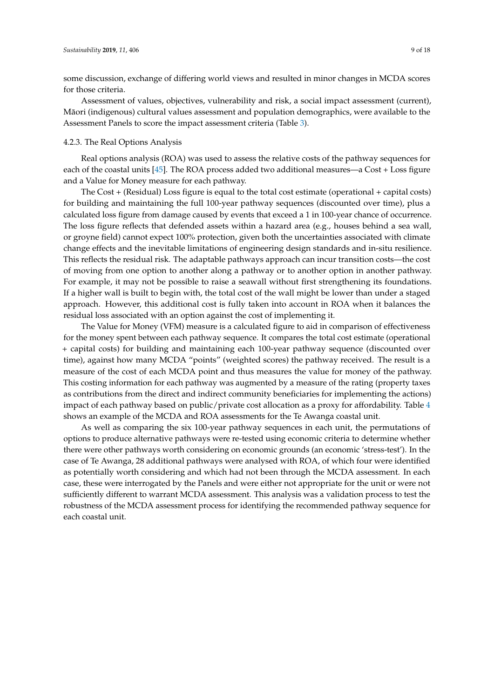some discussion, exchange of differing world views and resulted in minor changes in MCDA scores for those criteria.

Assessment of values, objectives, vulnerability and risk, a social impact assessment (current), Maori (indigenous) cultural values assessment and population demographics, were available to the ¯ Assessment Panels to score the impact assessment criteria (Table [3\)](#page-7-0).

## 4.2.3. The Real Options Analysis

Real options analysis (ROA) was used to assess the relative costs of the pathway sequences for each of the coastal units [\[45\]](#page-17-6). The ROA process added two additional measures—a Cost + Loss figure and a Value for Money measure for each pathway.

The Cost + (Residual) Loss figure is equal to the total cost estimate (operational + capital costs) for building and maintaining the full 100-year pathway sequences (discounted over time), plus a calculated loss figure from damage caused by events that exceed a 1 in 100-year chance of occurrence. The loss figure reflects that defended assets within a hazard area (e.g., houses behind a sea wall, or groyne field) cannot expect 100% protection, given both the uncertainties associated with climate change effects and the inevitable limitations of engineering design standards and in-situ resilience. This reflects the residual risk. The adaptable pathways approach can incur transition costs—the cost of moving from one option to another along a pathway or to another option in another pathway. For example, it may not be possible to raise a seawall without first strengthening its foundations. If a higher wall is built to begin with, the total cost of the wall might be lower than under a staged approach. However, this additional cost is fully taken into account in ROA when it balances the residual loss associated with an option against the cost of implementing it.

The Value for Money (VFM) measure is a calculated figure to aid in comparison of effectiveness for the money spent between each pathway sequence. It compares the total cost estimate (operational + capital costs) for building and maintaining each 100-year pathway sequence (discounted over time), against how many MCDA "points" (weighted scores) the pathway received. The result is a measure of the cost of each MCDA point and thus measures the value for money of the pathway. This costing information for each pathway was augmented by a measure of the rating (property taxes as contributions from the direct and indirect community beneficiaries for implementing the actions) impact of each pathway based on public/private cost allocation as a proxy for affordability. Table [4](#page-9-0) shows an example of the MCDA and ROA assessments for the Te Awanga coastal unit.

As well as comparing the six 100-year pathway sequences in each unit, the permutations of options to produce alternative pathways were re-tested using economic criteria to determine whether there were other pathways worth considering on economic grounds (an economic 'stress-test'). In the case of Te Awanga, 28 additional pathways were analysed with ROA, of which four were identified as potentially worth considering and which had not been through the MCDA assessment. In each case, these were interrogated by the Panels and were either not appropriate for the unit or were not sufficiently different to warrant MCDA assessment. This analysis was a validation process to test the robustness of the MCDA assessment process for identifying the recommended pathway sequence for each coastal unit.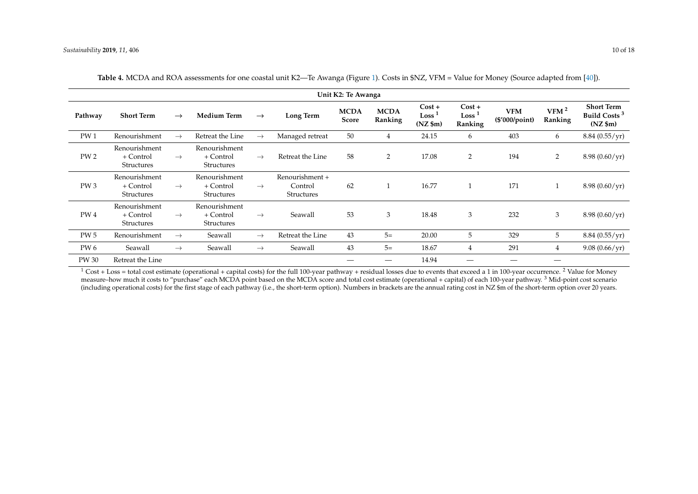| Unit K2: Te Awanga |                                                 |               |                                                 |               |                                                 |                      |                        |                                                      |                                          |                              |                             |                                                                      |
|--------------------|-------------------------------------------------|---------------|-------------------------------------------------|---------------|-------------------------------------------------|----------------------|------------------------|------------------------------------------------------|------------------------------------------|------------------------------|-----------------------------|----------------------------------------------------------------------|
| Pathway            | <b>Short Term</b>                               | $\rightarrow$ | <b>Medium Term</b>                              | $\rightarrow$ | Long Term                                       | <b>MCDA</b><br>Score | <b>MCDA</b><br>Ranking | $Cost +$<br>Loss <sup>1</sup><br>$(NZ \, \text{Sm})$ | $Cost +$<br>Loss <sup>1</sup><br>Ranking | <b>VFM</b><br>(\$'000/point) | VFM <sup>2</sup><br>Ranking | <b>Short Term</b><br>Build Costs <sup>3</sup><br>$(NZ \, \text{Sm})$ |
| PW <sub>1</sub>    | Renourishment                                   | $\rightarrow$ | Retreat the Line                                | $\rightarrow$ | Managed retreat                                 | 50                   | 4                      | 24.15                                                | 6                                        | 403                          | 6                           | 8.84(0.55/yr)                                                        |
| PW <sub>2</sub>    | Renourishment<br>+ Control<br><b>Structures</b> | $\rightarrow$ | Renourishment<br>+ Control<br><b>Structures</b> | $\rightarrow$ | Retreat the Line                                | 58                   | 2                      | 17.08                                                | 2                                        | 194                          | 2                           | $8.98(0.60/\text{yr})$                                               |
| PW <sub>3</sub>    | Renourishment<br>+ Control<br><b>Structures</b> | $\rightarrow$ | Renourishment<br>+ Control<br><b>Structures</b> | $\rightarrow$ | Renourishment +<br>Control<br><b>Structures</b> | 62                   |                        | 16.77                                                | 1                                        | 171                          |                             | $8.98(0.60/\text{yr})$                                               |
| PW <sub>4</sub>    | Renourishment<br>+ Control<br><b>Structures</b> | $\rightarrow$ | Renourishment<br>+ Control<br><b>Structures</b> | $\rightarrow$ | Seawall                                         | 53                   | 3                      | 18.48                                                | 3                                        | 232                          | 3                           | $8.98(0.60/\text{yr})$                                               |
| <b>PW 5</b>        | Renourishment                                   | $\rightarrow$ | Seawall                                         | $\rightarrow$ | Retreat the Line                                | 43                   | $5=$                   | 20.00                                                | 5                                        | 329                          | 5                           | 8.84(0.55/yr)                                                        |
| PW 6               | Seawall                                         | $\rightarrow$ | Seawall                                         | $\rightarrow$ | Seawall                                         | 43                   | $5=$                   | 18.67                                                | 4                                        | 291                          | 4                           | 9.08(0.66/yr)                                                        |
| <b>PW 30</b>       | Retreat the Line                                |               |                                                 |               |                                                 |                      |                        | 14.94                                                |                                          |                              |                             |                                                                      |

| Table 4. MCDA and ROA assessments for one coastal unit K2—Te Awanga (Figure 1). Costs in \$NZ, VFM = Value for Money (Source adapted from [40]). |  |  |
|--------------------------------------------------------------------------------------------------------------------------------------------------|--|--|
|--------------------------------------------------------------------------------------------------------------------------------------------------|--|--|

<span id="page-9-0"></span> $1$  Cost + Loss = total cost estimate (operational + capital costs) for the full 100-year pathway + residual losses due to events that exceed a 1 in 100-year occurrence. <sup>2</sup> Value for Money measure–how much it costs to "purchase" each MCDA point based on the MCDA score and total cost estimate (operational + capital) of each 100-year pathway.<sup>3</sup> Mid-point cost scenario massure–how much it costs to "purchase" e (including operational costs) for the first stage of each pathway (i.e., the short-term option). Numbers in brackets are the annual rating cost in NZ \$m of the short-term option over 20 years.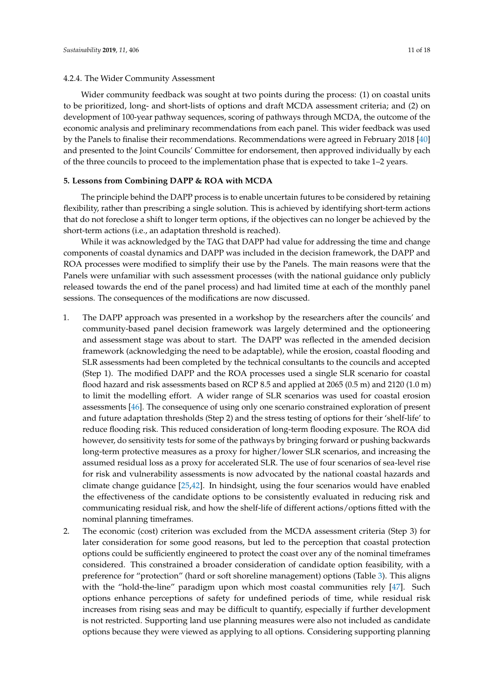## 4.2.4. The Wider Community Assessment

Wider community feedback was sought at two points during the process: (1) on coastal units to be prioritized, long- and short-lists of options and draft MCDA assessment criteria; and (2) on development of 100-year pathway sequences, scoring of pathways through MCDA, the outcome of the economic analysis and preliminary recommendations from each panel. This wider feedback was used by the Panels to finalise their recommendations. Recommendations were agreed in February 2018 [\[40\]](#page-17-1) and presented to the Joint Councils' Committee for endorsement, then approved individually by each of the three councils to proceed to the implementation phase that is expected to take 1–2 years.

## <span id="page-10-0"></span>**5. Lessons from Combining DAPP & ROA with MCDA**

The principle behind the DAPP process is to enable uncertain futures to be considered by retaining flexibility, rather than prescribing a single solution. This is achieved by identifying short-term actions that do not foreclose a shift to longer term options, if the objectives can no longer be achieved by the short-term actions (i.e., an adaptation threshold is reached).

While it was acknowledged by the TAG that DAPP had value for addressing the time and change components of coastal dynamics and DAPP was included in the decision framework, the DAPP and ROA processes were modified to simplify their use by the Panels. The main reasons were that the Panels were unfamiliar with such assessment processes (with the national guidance only publicly released towards the end of the panel process) and had limited time at each of the monthly panel sessions. The consequences of the modifications are now discussed.

- 1. The DAPP approach was presented in a workshop by the researchers after the councils' and community-based panel decision framework was largely determined and the optioneering and assessment stage was about to start. The DAPP was reflected in the amended decision framework (acknowledging the need to be adaptable), while the erosion, coastal flooding and SLR assessments had been completed by the technical consultants to the councils and accepted (Step 1). The modified DAPP and the ROA processes used a single SLR scenario for coastal flood hazard and risk assessments based on RCP 8.5 and applied at 2065 (0.5 m) and 2120 (1.0 m) to limit the modelling effort. A wider range of SLR scenarios was used for coastal erosion assessments [\[46\]](#page-17-8). The consequence of using only one scenario constrained exploration of present and future adaptation thresholds (Step 2) and the stress testing of options for their 'shelf-life' to reduce flooding risk. This reduced consideration of long-term flooding exposure. The ROA did however, do sensitivity tests for some of the pathways by bringing forward or pushing backwards long-term protective measures as a proxy for higher/lower SLR scenarios, and increasing the assumed residual loss as a proxy for accelerated SLR. The use of four scenarios of sea-level rise for risk and vulnerability assessments is now advocated by the national coastal hazards and climate change guidance [\[25](#page-16-6)[,42\]](#page-17-3). In hindsight, using the four scenarios would have enabled the effectiveness of the candidate options to be consistently evaluated in reducing risk and communicating residual risk, and how the shelf-life of different actions/options fitted with the nominal planning timeframes.
- 2. The economic (cost) criterion was excluded from the MCDA assessment criteria (Step 3) for later consideration for some good reasons, but led to the perception that coastal protection options could be sufficiently engineered to protect the coast over any of the nominal timeframes considered. This constrained a broader consideration of candidate option feasibility, with a preference for "protection" (hard or soft shoreline management) options (Table [3\)](#page-7-0). This aligns with the "hold-the-line" paradigm upon which most coastal communities rely [\[47\]](#page-17-9). Such options enhance perceptions of safety for undefined periods of time, while residual risk increases from rising seas and may be difficult to quantify, especially if further development is not restricted. Supporting land use planning measures were also not included as candidate options because they were viewed as applying to all options. Considering supporting planning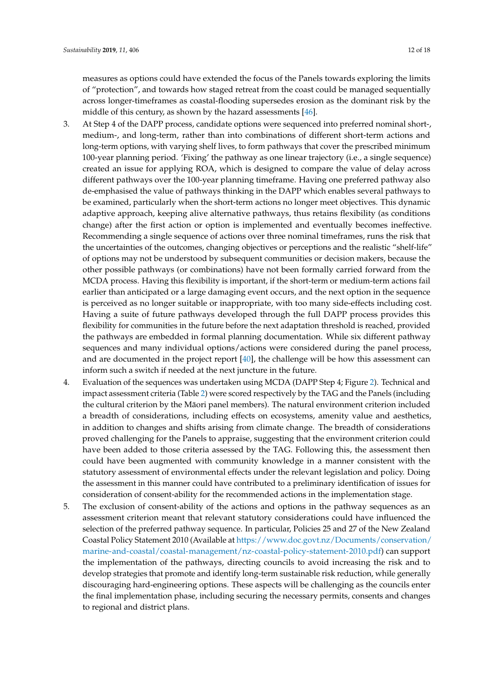measures as options could have extended the focus of the Panels towards exploring the limits of "protection", and towards how staged retreat from the coast could be managed sequentially across longer-timeframes as coastal-flooding supersedes erosion as the dominant risk by the middle of this century, as shown by the hazard assessments [\[46\]](#page-17-8).

- 3. At Step 4 of the DAPP process, candidate options were sequenced into preferred nominal short-, medium-, and long-term, rather than into combinations of different short-term actions and long-term options, with varying shelf lives, to form pathways that cover the prescribed minimum 100-year planning period. 'Fixing' the pathway as one linear trajectory (i.e., a single sequence) created an issue for applying ROA, which is designed to compare the value of delay across different pathways over the 100-year planning timeframe. Having one preferred pathway also de-emphasised the value of pathways thinking in the DAPP which enables several pathways to be examined, particularly when the short-term actions no longer meet objectives. This dynamic adaptive approach, keeping alive alternative pathways, thus retains flexibility (as conditions change) after the first action or option is implemented and eventually becomes ineffective. Recommending a single sequence of actions over three nominal timeframes, runs the risk that the uncertainties of the outcomes, changing objectives or perceptions and the realistic "shelf-life" of options may not be understood by subsequent communities or decision makers, because the other possible pathways (or combinations) have not been formally carried forward from the MCDA process. Having this flexibility is important, if the short-term or medium-term actions fail earlier than anticipated or a large damaging event occurs, and the next option in the sequence is perceived as no longer suitable or inappropriate, with too many side-effects including cost. Having a suite of future pathways developed through the full DAPP process provides this flexibility for communities in the future before the next adaptation threshold is reached, provided the pathways are embedded in formal planning documentation. While six different pathway sequences and many individual options/actions were considered during the panel process, and are documented in the project report [\[40\]](#page-17-1), the challenge will be how this assessment can inform such a switch if needed at the next juncture in the future.
- 4. Evaluation of the sequences was undertaken using MCDA (DAPP Step 4; Figure [2\)](#page-5-0). Technical and impact assessment criteria (Table [2\)](#page-6-1) were scored respectively by the TAG and the Panels (including the cultural criterion by the Maori panel members). The natural environment criterion included ¯ a breadth of considerations, including effects on ecosystems, amenity value and aesthetics, in addition to changes and shifts arising from climate change. The breadth of considerations proved challenging for the Panels to appraise, suggesting that the environment criterion could have been added to those criteria assessed by the TAG. Following this, the assessment then could have been augmented with community knowledge in a manner consistent with the statutory assessment of environmental effects under the relevant legislation and policy. Doing the assessment in this manner could have contributed to a preliminary identification of issues for consideration of consent-ability for the recommended actions in the implementation stage.
- 5. The exclusion of consent-ability of the actions and options in the pathway sequences as an assessment criterion meant that relevant statutory considerations could have influenced the selection of the preferred pathway sequence. In particular, Policies 25 and 27 of the New Zealand Coastal Policy Statement 2010 (Available at [https://www.doc.govt.nz/Documents/conservation/](https://www.doc.govt.nz/Documents/conservation/marine-and-coastal/coastal-management/nz-coastal-policy-statement-2010.pdf) [marine-and-coastal/coastal-management/nz-coastal-policy-statement-2010.pdf\)](https://www.doc.govt.nz/Documents/conservation/marine-and-coastal/coastal-management/nz-coastal-policy-statement-2010.pdf) can support the implementation of the pathways, directing councils to avoid increasing the risk and to develop strategies that promote and identify long-term sustainable risk reduction, while generally discouraging hard-engineering options. These aspects will be challenging as the councils enter the final implementation phase, including securing the necessary permits, consents and changes to regional and district plans.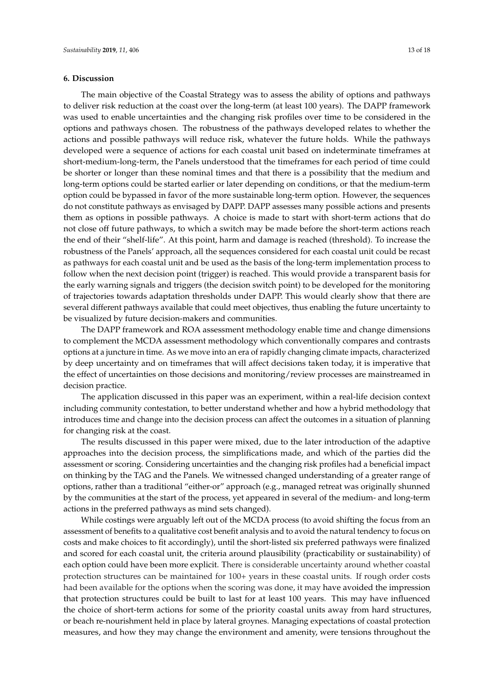## **6. Discussion**

The main objective of the Coastal Strategy was to assess the ability of options and pathways to deliver risk reduction at the coast over the long-term (at least 100 years). The DAPP framework was used to enable uncertainties and the changing risk profiles over time to be considered in the options and pathways chosen. The robustness of the pathways developed relates to whether the actions and possible pathways will reduce risk, whatever the future holds. While the pathways developed were a sequence of actions for each coastal unit based on indeterminate timeframes at short-medium-long-term, the Panels understood that the timeframes for each period of time could be shorter or longer than these nominal times and that there is a possibility that the medium and long-term options could be started earlier or later depending on conditions, or that the medium-term option could be bypassed in favor of the more sustainable long-term option. However, the sequences do not constitute pathways as envisaged by DAPP. DAPP assesses many possible actions and presents them as options in possible pathways. A choice is made to start with short-term actions that do not close off future pathways, to which a switch may be made before the short-term actions reach the end of their "shelf-life". At this point, harm and damage is reached (threshold). To increase the robustness of the Panels' approach, all the sequences considered for each coastal unit could be recast as pathways for each coastal unit and be used as the basis of the long-term implementation process to follow when the next decision point (trigger) is reached. This would provide a transparent basis for the early warning signals and triggers (the decision switch point) to be developed for the monitoring of trajectories towards adaptation thresholds under DAPP. This would clearly show that there are several different pathways available that could meet objectives, thus enabling the future uncertainty to be visualized by future decision-makers and communities.

The DAPP framework and ROA assessment methodology enable time and change dimensions to complement the MCDA assessment methodology which conventionally compares and contrasts options at a juncture in time. As we move into an era of rapidly changing climate impacts, characterized by deep uncertainty and on timeframes that will affect decisions taken today, it is imperative that the effect of uncertainties on those decisions and monitoring/review processes are mainstreamed in decision practice.

The application discussed in this paper was an experiment, within a real-life decision context including community contestation, to better understand whether and how a hybrid methodology that introduces time and change into the decision process can affect the outcomes in a situation of planning for changing risk at the coast.

The results discussed in this paper were mixed, due to the later introduction of the adaptive approaches into the decision process, the simplifications made, and which of the parties did the assessment or scoring. Considering uncertainties and the changing risk profiles had a beneficial impact on thinking by the TAG and the Panels. We witnessed changed understanding of a greater range of options, rather than a traditional "either-or" approach (e.g., managed retreat was originally shunned by the communities at the start of the process, yet appeared in several of the medium- and long-term actions in the preferred pathways as mind sets changed).

While costings were arguably left out of the MCDA process (to avoid shifting the focus from an assessment of benefits to a qualitative cost benefit analysis and to avoid the natural tendency to focus on costs and make choices to fit accordingly), until the short-listed six preferred pathways were finalized and scored for each coastal unit, the criteria around plausibility (practicability or sustainability) of each option could have been more explicit. There is considerable uncertainty around whether coastal protection structures can be maintained for 100+ years in these coastal units. If rough order costs had been available for the options when the scoring was done, it may have avoided the impression that protection structures could be built to last for at least 100 years. This may have influenced the choice of short-term actions for some of the priority coastal units away from hard structures, or beach re-nourishment held in place by lateral groynes. Managing expectations of coastal protection measures, and how they may change the environment and amenity, were tensions throughout the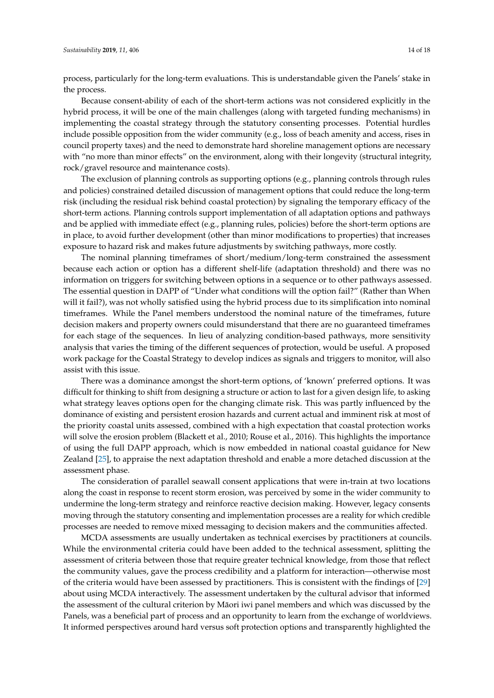process, particularly for the long-term evaluations. This is understandable given the Panels' stake in the process.

Because consent-ability of each of the short-term actions was not considered explicitly in the hybrid process, it will be one of the main challenges (along with targeted funding mechanisms) in implementing the coastal strategy through the statutory consenting processes. Potential hurdles include possible opposition from the wider community (e.g., loss of beach amenity and access, rises in council property taxes) and the need to demonstrate hard shoreline management options are necessary with "no more than minor effects" on the environment, along with their longevity (structural integrity, rock/gravel resource and maintenance costs).

The exclusion of planning controls as supporting options (e.g., planning controls through rules and policies) constrained detailed discussion of management options that could reduce the long-term risk (including the residual risk behind coastal protection) by signaling the temporary efficacy of the short-term actions. Planning controls support implementation of all adaptation options and pathways and be applied with immediate effect (e.g., planning rules, policies) before the short-term options are in place, to avoid further development (other than minor modifications to properties) that increases exposure to hazard risk and makes future adjustments by switching pathways, more costly.

The nominal planning timeframes of short/medium/long-term constrained the assessment because each action or option has a different shelf-life (adaptation threshold) and there was no information on triggers for switching between options in a sequence or to other pathways assessed. The essential question in DAPP of "Under what conditions will the option fail?" (Rather than When will it fail?), was not wholly satisfied using the hybrid process due to its simplification into nominal timeframes. While the Panel members understood the nominal nature of the timeframes, future decision makers and property owners could misunderstand that there are no guaranteed timeframes for each stage of the sequences. In lieu of analyzing condition-based pathways, more sensitivity analysis that varies the timing of the different sequences of protection, would be useful. A proposed work package for the Coastal Strategy to develop indices as signals and triggers to monitor, will also assist with this issue.

There was a dominance amongst the short-term options, of 'known' preferred options. It was difficult for thinking to shift from designing a structure or action to last for a given design life, to asking what strategy leaves options open for the changing climate risk. This was partly influenced by the dominance of existing and persistent erosion hazards and current actual and imminent risk at most of the priority coastal units assessed, combined with a high expectation that coastal protection works will solve the erosion problem (Blackett et al., 2010; Rouse et al., 2016). This highlights the importance of using the full DAPP approach, which is now embedded in national coastal guidance for New Zealand [\[25\]](#page-16-6), to appraise the next adaptation threshold and enable a more detached discussion at the assessment phase.

The consideration of parallel seawall consent applications that were in-train at two locations along the coast in response to recent storm erosion, was perceived by some in the wider community to undermine the long-term strategy and reinforce reactive decision making. However, legacy consents moving through the statutory consenting and implementation processes are a reality for which credible processes are needed to remove mixed messaging to decision makers and the communities affected.

MCDA assessments are usually undertaken as technical exercises by practitioners at councils. While the environmental criteria could have been added to the technical assessment, splitting the assessment of criteria between those that require greater technical knowledge, from those that reflect the community values, gave the process credibility and a platform for interaction—otherwise most of the criteria would have been assessed by practitioners. This is consistent with the findings of [\[29\]](#page-16-10) about using MCDA interactively. The assessment undertaken by the cultural advisor that informed the assessment of the cultural criterion by Māori iwi panel members and which was discussed by the Panels, was a beneficial part of process and an opportunity to learn from the exchange of worldviews. It informed perspectives around hard versus soft protection options and transparently highlighted the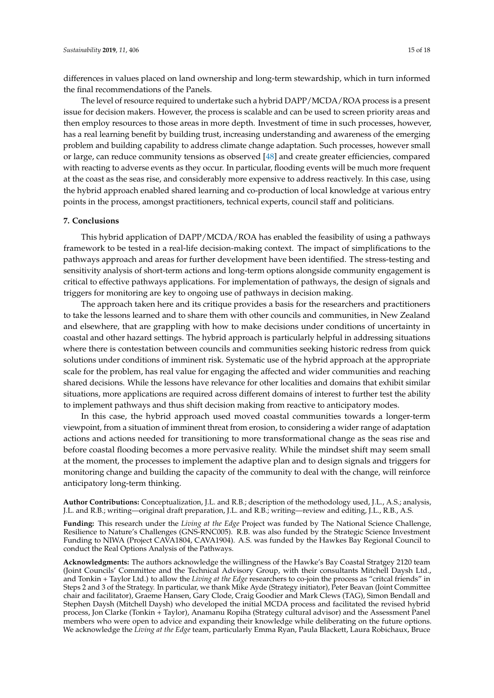differences in values placed on land ownership and long-term stewardship, which in turn informed the final recommendations of the Panels.

The level of resource required to undertake such a hybrid DAPP/MCDA/ROA process is a present issue for decision makers. However, the process is scalable and can be used to screen priority areas and then employ resources to those areas in more depth. Investment of time in such processes, however, has a real learning benefit by building trust, increasing understanding and awareness of the emerging problem and building capability to address climate change adaptation. Such processes, however small or large, can reduce community tensions as observed [\[48\]](#page-17-10) and create greater efficiencies, compared with reacting to adverse events as they occur. In particular, flooding events will be much more frequent at the coast as the seas rise, and considerably more expensive to address reactively. In this case, using the hybrid approach enabled shared learning and co-production of local knowledge at various entry points in the process, amongst practitioners, technical experts, council staff and politicians.

## **7. Conclusions**

This hybrid application of DAPP/MCDA/ROA has enabled the feasibility of using a pathways framework to be tested in a real-life decision-making context. The impact of simplifications to the pathways approach and areas for further development have been identified. The stress-testing and sensitivity analysis of short-term actions and long-term options alongside community engagement is critical to effective pathways applications. For implementation of pathways, the design of signals and triggers for monitoring are key to ongoing use of pathways in decision making.

The approach taken here and its critique provides a basis for the researchers and practitioners to take the lessons learned and to share them with other councils and communities, in New Zealand and elsewhere, that are grappling with how to make decisions under conditions of uncertainty in coastal and other hazard settings. The hybrid approach is particularly helpful in addressing situations where there is contestation between councils and communities seeking historic redress from quick solutions under conditions of imminent risk. Systematic use of the hybrid approach at the appropriate scale for the problem, has real value for engaging the affected and wider communities and reaching shared decisions. While the lessons have relevance for other localities and domains that exhibit similar situations, more applications are required across different domains of interest to further test the ability to implement pathways and thus shift decision making from reactive to anticipatory modes.

In this case, the hybrid approach used moved coastal communities towards a longer-term viewpoint, from a situation of imminent threat from erosion, to considering a wider range of adaptation actions and actions needed for transitioning to more transformational change as the seas rise and before coastal flooding becomes a more pervasive reality. While the mindset shift may seem small at the moment, the processes to implement the adaptive plan and to design signals and triggers for monitoring change and building the capacity of the community to deal with the change, will reinforce anticipatory long-term thinking.

**Author Contributions:** Conceptualization, J.L. and R.B.; description of the methodology used, J.L., A.S.; analysis, J.L. and R.B.; writing—original draft preparation, J.L. and R.B.; writing—review and editing, J.L., R.B., A.S.

**Funding:** This research under the *Living at the Edge* Project was funded by The National Science Challenge, Resilience to Nature's Challenges (GNS-RNC005). R.B. was also funded by the Strategic Science Investment Funding to NIWA (Project CAVA1804, CAVA1904). A.S. was funded by the Hawkes Bay Regional Council to conduct the Real Options Analysis of the Pathways.

**Acknowledgments:** The authors acknowledge the willingness of the Hawke's Bay Coastal Stratgey 2120 team (Joint Councils' Committee and the Technical Advisory Group, with their consultants Mitchell Daysh Ltd., and Tonkin + Taylor Ltd.) to allow the *Living at the Edge* researchers to co-join the process as "critcal friends" in Steps 2 and 3 of the Strategy. In particular, we thank Mike Ayde (Strategy initiator), Peter Beavan (Joint Committee chair and facilitator), Graeme Hansen, Gary Clode, Craig Goodier and Mark Clews (TAG), Simon Bendall and Stephen Daysh (Mitchell Daysh) who developed the initial MCDA process and facilitated the revised hybrid process, Jon Clarke (Tonkin + Taylor), Anamanu Ropiha (Strategy cultural advisor) and the Assessment Panel members who were open to advice and expanding their knowledge while deliberating on the future options. We acknowledge the *Living at the Edge* team, particularly Emma Ryan, Paula Blackett, Laura Robichaux, Bruce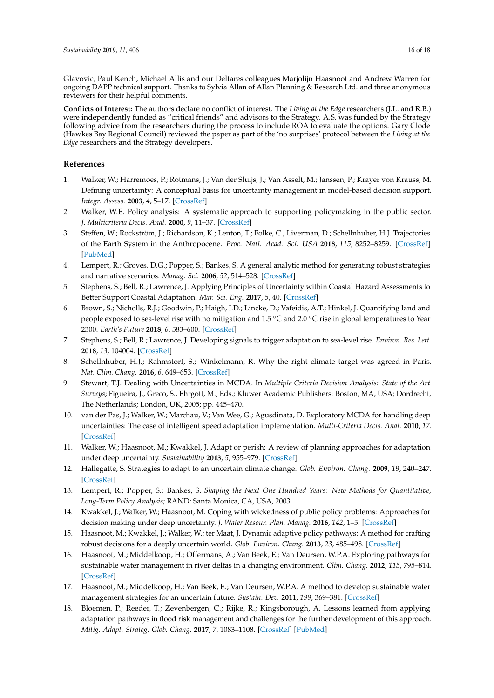Glavovic, Paul Kench, Michael Allis and our Deltares colleagues Marjolijn Haasnoot and Andrew Warren for ongoing DAPP technical support. Thanks to Sylvia Allan of Allan Planning & Research Ltd. and three anonymous reviewers for their helpful comments.

**Conflicts of Interest:** The authors declare no conflict of interest. The *Living at the Edge* researchers (J.L. and R.B.) were independently funded as "critical friends" and advisors to the Strategy. A.S. was funded by the Strategy following advice from the researchers during the process to include ROA to evaluate the options. Gary Clode (Hawkes Bay Regional Council) reviewed the paper as part of the 'no surprises' protocol between the *Living at the Edge* researchers and the Strategy developers.

## **References**

- <span id="page-15-0"></span>1. Walker, W.; Harremoes, P.; Rotmans, J.; Van der Sluijs, J.; Van Asselt, M.; Janssen, P.; Krayer von Krauss, M. Defining uncertainty: A conceptual basis for uncertainty management in model-based decision support. *Integr. Assess.* **2003**, *4*, 5–17. [\[CrossRef\]](http://dx.doi.org/10.1076/iaij.4.1.5.16466)
- <span id="page-15-1"></span>2. Walker, W.E. Policy analysis: A systematic approach to supporting policymaking in the public sector. *J. Multicriteria Decis. Anal.* **2000**, *9*, 11–37. [\[CrossRef\]](http://dx.doi.org/10.1002/1099-1360(200001/05)9:1/3<11::AID-MCDA264>3.0.CO;2-3)
- <span id="page-15-2"></span>3. Steffen, W.; Rockström, J.; Richardson, K.; Lenton, T.; Folke, C.; Liverman, D.; Schellnhuber, H.J. Trajectories of the Earth System in the Anthropocene. *Proc. Natl. Acad. Sci. USA* **2018**, *115*, 8252–8259. [\[CrossRef\]](http://dx.doi.org/10.1073/pnas.1810141115) [\[PubMed\]](http://www.ncbi.nlm.nih.gov/pubmed/30082409)
- <span id="page-15-3"></span>4. Lempert, R.; Groves, D.G.; Popper, S.; Bankes, S. A general analytic method for generating robust strategies and narrative scenarios. *Manag. Sci.* **2006**, *52*, 514–528. [\[CrossRef\]](http://dx.doi.org/10.1287/mnsc.1050.0472)
- <span id="page-15-4"></span>5. Stephens, S.; Bell, R.; Lawrence, J. Applying Principles of Uncertainty within Coastal Hazard Assessments to Better Support Coastal Adaptation. *Mar. Sci. Eng.* **2017**, *5*, 40. [\[CrossRef\]](http://dx.doi.org/10.3390/jmse5030040)
- <span id="page-15-5"></span>6. Brown, S.; Nicholls, R.J.; Goodwin, P.; Haigh, I.D.; Lincke, D.; Vafeidis, A.T.; Hinkel, J. Quantifying land and people exposed to sea-level rise with no mitigation and 1.5 ◦C and 2.0 ◦C rise in global temperatures to Year 2300. *Earth's Future* **2018**, *6*, 583–600. [\[CrossRef\]](http://dx.doi.org/10.1002/2017EF000738)
- <span id="page-15-6"></span>7. Stephens, S.; Bell, R.; Lawrence, J. Developing signals to trigger adaptation to sea-level rise. *Environ. Res. Lett.* **2018**, *13*, 104004. [\[CrossRef\]](http://dx.doi.org/10.1088/1748-9326/aadf96)
- <span id="page-15-7"></span>8. Schellnhuber, H.J.; Rahmstorf, S.; Winkelmann, R. Why the right climate target was agreed in Paris. *Nat. Clim. Chang.* **2016**, *6*, 649–653. [\[CrossRef\]](http://dx.doi.org/10.1038/nclimate3013)
- <span id="page-15-8"></span>9. Stewart, T.J. Dealing with Uncertainties in MCDA. In *Multiple Criteria Decision Analysis: State of the Art Surveys*; Figueira, J., Greco, S., Ehrgott, M., Eds.; Kluwer Academic Publishers: Boston, MA, USA; Dordrecht, The Netherlands; London, UK, 2005; pp. 445–470.
- <span id="page-15-9"></span>10. van der Pas, J.; Walker, W.; Marchau, V.; Van Wee, G.; Agusdinata, D. Exploratory MCDA for handling deep uncertainties: The case of intelligent speed adaptation implementation. *Multi-Criteria Decis. Anal.* **2010**, *17*. [\[CrossRef\]](http://dx.doi.org/10.1002/mcda.450)
- <span id="page-15-10"></span>11. Walker, W.; Haasnoot, M.; Kwakkel, J. Adapt or perish: A review of planning approaches for adaptation under deep uncertainty. *Sustainability* **2013**, *5*, 955–979. [\[CrossRef\]](http://dx.doi.org/10.3390/su5030955)
- <span id="page-15-11"></span>12. Hallegatte, S. Strategies to adapt to an uncertain climate change. *Glob. Environ. Chang.* **2009**, *19*, 240–247. [\[CrossRef\]](http://dx.doi.org/10.1016/j.gloenvcha.2008.12.003)
- <span id="page-15-12"></span>13. Lempert, R.; Popper, S.; Bankes, S. *Shaping the Next One Hundred Years: New Methods for Quantitative, Long-Term Policy Analysis*; RAND: Santa Monica, CA, USA, 2003.
- <span id="page-15-13"></span>14. Kwakkel, J.; Walker, W.; Haasnoot, M. Coping with wickedness of public policy problems: Approaches for decision making under deep uncertainty. *J. Water Resour. Plan. Manag.* **2016**, *142*, 1–5. [\[CrossRef\]](http://dx.doi.org/10.1061/(ASCE)WR.1943-5452.0000626)
- <span id="page-15-14"></span>15. Haasnoot, M.; Kwakkel, J.; Walker, W.; ter Maat, J. Dynamic adaptive policy pathways: A method for crafting robust decisions for a deeply uncertain world. *Glob. Environ. Chang.* **2013**, *23*, 485–498. [\[CrossRef\]](http://dx.doi.org/10.1016/j.gloenvcha.2012.12.006)
- 16. Haasnoot, M.; Middelkoop, H.; Offermans, A.; Van Beek, E.; Van Deursen, W.P.A. Exploring pathways for sustainable water management in river deltas in a changing environment. *Clim. Chang.* **2012**, *115*, 795–814. [\[CrossRef\]](http://dx.doi.org/10.1007/s10584-012-0444-2)
- 17. Haasnoot, M.; Middelkoop, H.; Van Beek, E.; Van Deursen, W.P.A. A method to develop sustainable water management strategies for an uncertain future. *Sustain. Dev.* **2011**, *199*, 369–381. [\[CrossRef\]](http://dx.doi.org/10.1002/sd.438)
- <span id="page-15-15"></span>18. Bloemen, P.; Reeder, T.; Zevenbergen, C.; Rijke, R.; Kingsborough, A. Lessons learned from applying adaptation pathways in flood risk management and challenges for the further development of this approach. *Mitig. Adapt. Strateg. Glob. Chang.* **2017**, *7*, 1083–1108. [\[CrossRef\]](http://dx.doi.org/10.1007/s11027-017-9773-9) [\[PubMed\]](http://www.ncbi.nlm.nih.gov/pubmed/30174540)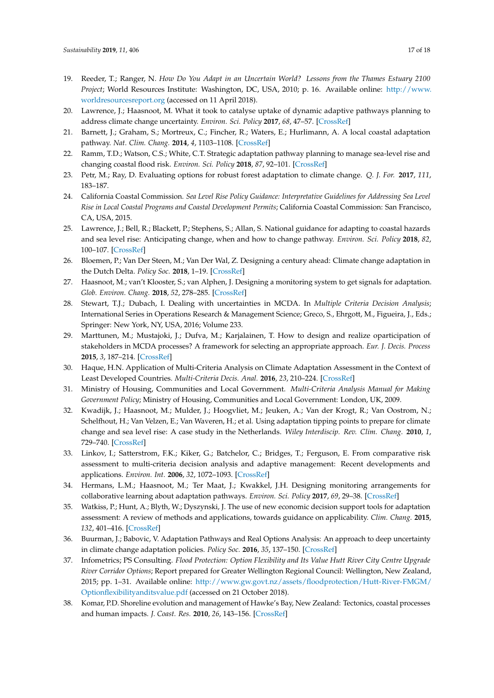- <span id="page-16-0"></span>19. Reeder, T.; Ranger, N. *How Do You Adapt in an Uncertain World? Lessons from the Thames Estuary 2100 Project*; World Resources Institute: Washington, DC, USA, 2010; p. 16. Available online: [http://www.](http://www.worldresourcesreport.org) [worldresourcesreport.org](http://www.worldresourcesreport.org) (accessed on 11 April 2018).
- <span id="page-16-1"></span>20. Lawrence, J.; Haasnoot, M. What it took to catalyse uptake of dynamic adaptive pathways planning to address climate change uncertainty. *Environ. Sci. Policy* **2017**, *68*, 47–57. [\[CrossRef\]](http://dx.doi.org/10.1016/j.envsci.2016.12.003)
- <span id="page-16-2"></span>21. Barnett, J.; Graham, S.; Mortreux, C.; Fincher, R.; Waters, E.; Hurlimann, A. A local coastal adaptation pathway. *Nat. Clim. Chang.* **2014**, *4*, 1103–1108. [\[CrossRef\]](http://dx.doi.org/10.1038/nclimate2383)
- <span id="page-16-3"></span>22. Ramm, T.D.; Watson, C.S.; White, C.T. Strategic adaptation pathway planning to manage sea-level rise and changing coastal flood risk. *Environ. Sci. Policy* **2018**, *87*, 92–101. [\[CrossRef\]](http://dx.doi.org/10.1016/j.envsci.2018.06.001)
- <span id="page-16-4"></span>23. Petr, M.; Ray, D. Evaluating options for robust forest adaptation to climate change. *Q. J. For.* **2017**, *111*, 183–187.
- <span id="page-16-5"></span>24. California Coastal Commission. *Sea Level Rise Policy Guidance: Interpretative Guidelines for Addressing Sea Level Rise in Local Coastal Programs and Coastal Development Permits*; California Coastal Commission: San Francisco, CA, USA, 2015.
- <span id="page-16-6"></span>25. Lawrence, J.; Bell, R.; Blackett, P.; Stephens, S.; Allan, S. National guidance for adapting to coastal hazards and sea level rise: Anticipating change, when and how to change pathway. *Environ. Sci. Policy* **2018**, *82*, 100–107. [\[CrossRef\]](http://dx.doi.org/10.1016/j.envsci.2018.01.012)
- <span id="page-16-7"></span>26. Bloemen, P.; Van Der Steen, M.; Van Der Wal, Z. Designing a century ahead: Climate change adaptation in the Dutch Delta. *Policy Soc.* **2018**, 1–19. [\[CrossRef\]](http://dx.doi.org/10.1080/14494035.2018.1513731)
- <span id="page-16-8"></span>27. Haasnoot, M.; van't Klooster, S.; van Alphen, J. Designing a monitoring system to get signals for adaptation. *Glob. Environ. Chang.* **2018**, *52*, 278–285. [\[CrossRef\]](http://dx.doi.org/10.1016/j.gloenvcha.2018.08.003)
- <span id="page-16-9"></span>28. Stewart, T.J.; Dubach, I. Dealing with uncertainties in MCDA. In *Multiple Criteria Decision Analysis*; International Series in Operations Research & Management Science; Greco, S., Ehrgott, M., Figueira, J., Eds.; Springer: New York, NY, USA, 2016; Volume 233.
- <span id="page-16-10"></span>29. Marttunen, M.; Mustajoki, J.; Dufva, M.; Karjalainen, T. How to design and realize oparticipation of stakeholders in MCDA processes? A framework for selecting an appropriate approach. *Eur. J. Decis. Process* **2015**, *3*, 187–214. [\[CrossRef\]](http://dx.doi.org/10.1007/s40070-013-0016-3)
- <span id="page-16-11"></span>30. Haque, H.N. Application of Multi-Criteria Analysis on Climate Adaptation Assessment in the Context of Least Developed Countries. *Multi-Criteria Decis. Anal.* **2016**, *23*, 210–224. [\[CrossRef\]](http://dx.doi.org/10.1002/mcda.1571)
- <span id="page-16-12"></span>31. Ministry of Housing, Communities and Local Government. *Multi-Criteria Analysis Manual for Making Government Policy*; Ministry of Housing, Communities and Local Government: London, UK, 2009.
- <span id="page-16-13"></span>32. Kwadijk, J.; Haasnoot, M.; Mulder, J.; Hoogvliet, M.; Jeuken, A.; Van der Krogt, R.; Van Oostrom, N.; Schelfhout, H.; Van Velzen, E.; Van Waveren, H.; et al. Using adaptation tipping points to prepare for climate change and sea level rise: A case study in the Netherlands. *Wiley Interdiscip. Rev. Clim. Chang.* **2010**, *1*, 729–740. [\[CrossRef\]](http://dx.doi.org/10.1002/wcc.64)
- <span id="page-16-14"></span>33. Linkov, I.; Satterstrom, F.K.; Kiker, G.; Batchelor, C.; Bridges, T.; Ferguson, E. From comparative risk assessment to multi-criteria decision analysis and adaptive management: Recent developments and applications. *Environ. Int.* **2006**, *32*, 1072–1093. [\[CrossRef\]](http://dx.doi.org/10.1016/j.envint.2006.06.013)
- <span id="page-16-15"></span>34. Hermans, L.M.; Haasnoot, M.; Ter Maat, J.; Kwakkel, J.H. Designing monitoring arrangements for collaborative learning about adaptation pathways. *Environ. Sci. Policy* **2017**, *69*, 29–38. [\[CrossRef\]](http://dx.doi.org/10.1016/j.envsci.2016.12.005)
- <span id="page-16-16"></span>35. Watkiss, P.; Hunt, A.; Blyth, W.; Dyszynski, J. The use of new economic decision support tools for adaptation assessment: A review of methods and applications, towards guidance on applicability. *Clim. Chang.* **2015**, *132*, 401–416. [\[CrossRef\]](http://dx.doi.org/10.1007/s10584-014-1250-9)
- <span id="page-16-17"></span>36. Buurman, J.; Babovic, V. Adaptation Pathways and Real Options Analysis: An approach to deep uncertainty in climate change adaptation policies. *Policy Soc.* **2016**, *35*, 137–150. [\[CrossRef\]](http://dx.doi.org/10.1016/j.polsoc.2016.05.002)
- <span id="page-16-18"></span>37. Infometrics; PS Consulting. *Flood Protection: Option Flexibility and Its Value Hutt River City Centre Upgrade River Corridor Options*; Report prepared for Greater Wellington Regional Council: Wellington, New Zealand, 2015; pp. 1–31. Available online: [http://www.gw.govt.nz/assets/floodprotection/Hutt-River-FMGM/](http://www.gw.govt.nz/assets/floodprotection/Hutt-River-FMGM/Optionflexibilityanditsvalue.pdf) [Optionflexibilityanditsvalue.pdf](http://www.gw.govt.nz/assets/floodprotection/Hutt-River-FMGM/Optionflexibilityanditsvalue.pdf) (accessed on 21 October 2018).
- <span id="page-16-19"></span>38. Komar, P.D. Shoreline evolution and management of Hawke's Bay, New Zealand: Tectonics, coastal processes and human impacts. *J. Coast. Res.* **2010**, *26*, 143–156. [\[CrossRef\]](http://dx.doi.org/10.2112/08-1079.1)